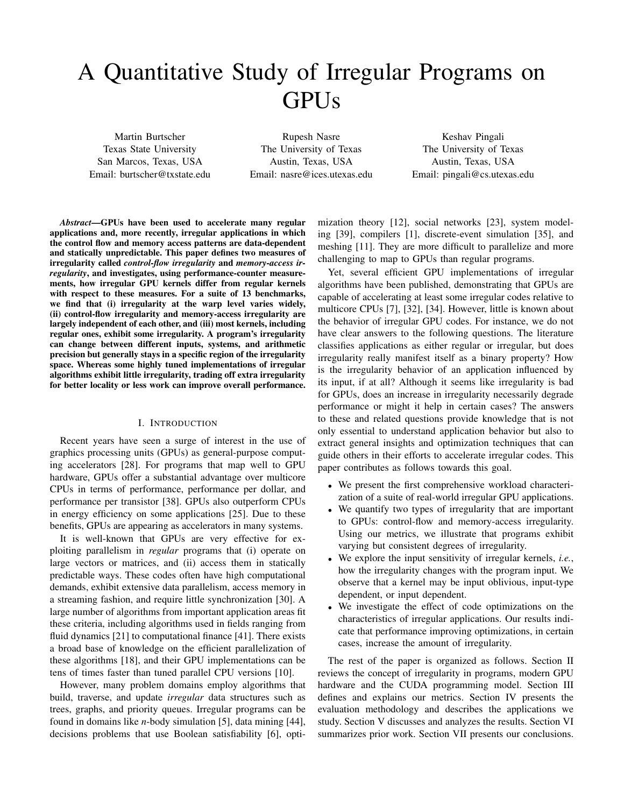# A Quantitative Study of Irregular Programs on GPUs

Martin Burtscher Texas State University San Marcos, Texas, USA Email: burtscher@txstate.edu

Rupesh Nasre The University of Texas Austin, Texas, USA Email: nasre@ices.utexas.edu

Keshav Pingali The University of Texas Austin, Texas, USA Email: pingali@cs.utexas.edu

*Abstract*—GPUs have been used to accelerate many regular applications and, more recently, irregular applications in which the control flow and memory access patterns are data-dependent and statically unpredictable. This paper defines two measures of irregularity called *control-flow irregularity* and *memory-access irregularity*, and investigates, using performance-counter measurements, how irregular GPU kernels differ from regular kernels with respect to these measures. For a suite of 13 benchmarks, we find that (i) irregularity at the warp level varies widely, (ii) control-flow irregularity and memory-access irregularity are largely independent of each other, and (iii) most kernels, including regular ones, exhibit some irregularity. A program's irregularity can change between different inputs, systems, and arithmetic precision but generally stays in a specific region of the irregularity space. Whereas some highly tuned implementations of irregular algorithms exhibit little irregularity, trading off extra irregularity for better locality or less work can improve overall performance.

#### I. INTRODUCTION

Recent years have seen a surge of interest in the use of graphics processing units (GPUs) as general-purpose computing accelerators [28]. For programs that map well to GPU hardware, GPUs offer a substantial advantage over multicore CPUs in terms of performance, performance per dollar, and performance per transistor [38]. GPUs also outperform CPUs in energy efficiency on some applications [25]. Due to these benefits, GPUs are appearing as accelerators in many systems.

It is well-known that GPUs are very effective for exploiting parallelism in *regular* programs that (i) operate on large vectors or matrices, and (ii) access them in statically predictable ways. These codes often have high computational demands, exhibit extensive data parallelism, access memory in a streaming fashion, and require little synchronization [30]. A large number of algorithms from important application areas fit these criteria, including algorithms used in fields ranging from fluid dynamics [21] to computational finance [41]. There exists a broad base of knowledge on the efficient parallelization of these algorithms [18], and their GPU implementations can be tens of times faster than tuned parallel CPU versions [10].

However, many problem domains employ algorithms that build, traverse, and update *irregular* data structures such as trees, graphs, and priority queues. Irregular programs can be found in domains like *n*-body simulation [5], data mining [44], decisions problems that use Boolean satisfiability [6], optimization theory [12], social networks [23], system modeling [39], compilers [1], discrete-event simulation [35], and meshing [11]. They are more difficult to parallelize and more challenging to map to GPUs than regular programs.

Yet, several efficient GPU implementations of irregular algorithms have been published, demonstrating that GPUs are capable of accelerating at least some irregular codes relative to multicore CPUs [7], [32], [34]. However, little is known about the behavior of irregular GPU codes. For instance, we do not have clear answers to the following questions. The literature classifies applications as either regular or irregular, but does irregularity really manifest itself as a binary property? How is the irregularity behavior of an application influenced by its input, if at all? Although it seems like irregularity is bad for GPUs, does an increase in irregularity necessarily degrade performance or might it help in certain cases? The answers to these and related questions provide knowledge that is not only essential to understand application behavior but also to extract general insights and optimization techniques that can guide others in their efforts to accelerate irregular codes. This paper contributes as follows towards this goal.

- We present the first comprehensive workload characterization of a suite of real-world irregular GPU applications.
- We quantify two types of irregularity that are important to GPUs: control-flow and memory-access irregularity. Using our metrics, we illustrate that programs exhibit varying but consistent degrees of irregularity.
- We explore the input sensitivity of irregular kernels, *i.e.*, how the irregularity changes with the program input. We observe that a kernel may be input oblivious, input-type dependent, or input dependent.
- We investigate the effect of code optimizations on the characteristics of irregular applications. Our results indicate that performance improving optimizations, in certain cases, increase the amount of irregularity.

The rest of the paper is organized as follows. Section II reviews the concept of irregularity in programs, modern GPU hardware and the CUDA programming model. Section III defines and explains our metrics. Section IV presents the evaluation methodology and describes the applications we study. Section V discusses and analyzes the results. Section VI summarizes prior work. Section VII presents our conclusions.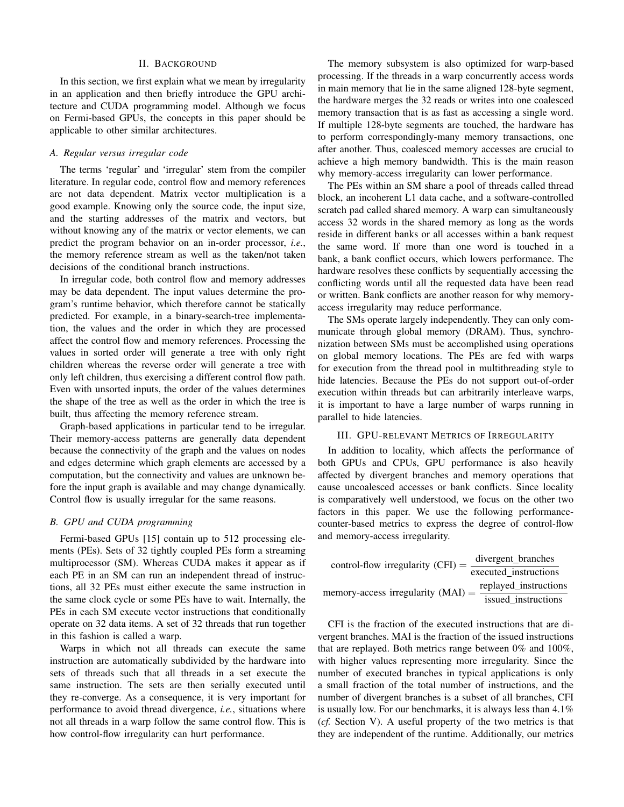#### II. BACKGROUND

In this section, we first explain what we mean by irregularity in an application and then briefly introduce the GPU architecture and CUDA programming model. Although we focus on Fermi-based GPUs, the concepts in this paper should be applicable to other similar architectures.

## *A. Regular versus irregular code*

The terms 'regular' and 'irregular' stem from the compiler literature. In regular code, control flow and memory references are not data dependent. Matrix vector multiplication is a good example. Knowing only the source code, the input size, and the starting addresses of the matrix and vectors, but without knowing any of the matrix or vector elements, we can predict the program behavior on an in-order processor, *i.e.*, the memory reference stream as well as the taken/not taken decisions of the conditional branch instructions.

In irregular code, both control flow and memory addresses may be data dependent. The input values determine the program's runtime behavior, which therefore cannot be statically predicted. For example, in a binary-search-tree implementation, the values and the order in which they are processed affect the control flow and memory references. Processing the values in sorted order will generate a tree with only right children whereas the reverse order will generate a tree with only left children, thus exercising a different control flow path. Even with unsorted inputs, the order of the values determines the shape of the tree as well as the order in which the tree is built, thus affecting the memory reference stream.

Graph-based applications in particular tend to be irregular. Their memory-access patterns are generally data dependent because the connectivity of the graph and the values on nodes and edges determine which graph elements are accessed by a computation, but the connectivity and values are unknown before the input graph is available and may change dynamically. Control flow is usually irregular for the same reasons.

## *B. GPU and CUDA programming*

Fermi-based GPUs [15] contain up to 512 processing elements (PEs). Sets of 32 tightly coupled PEs form a streaming multiprocessor (SM). Whereas CUDA makes it appear as if each PE in an SM can run an independent thread of instructions, all 32 PEs must either execute the same instruction in the same clock cycle or some PEs have to wait. Internally, the PEs in each SM execute vector instructions that conditionally operate on 32 data items. A set of 32 threads that run together in this fashion is called a warp.

Warps in which not all threads can execute the same instruction are automatically subdivided by the hardware into sets of threads such that all threads in a set execute the same instruction. The sets are then serially executed until they re-converge. As a consequence, it is very important for performance to avoid thread divergence, *i.e.*, situations where not all threads in a warp follow the same control flow. This is how control-flow irregularity can hurt performance.

The memory subsystem is also optimized for warp-based processing. If the threads in a warp concurrently access words in main memory that lie in the same aligned 128-byte segment, the hardware merges the 32 reads or writes into one coalesced memory transaction that is as fast as accessing a single word. If multiple 128-byte segments are touched, the hardware has to perform correspondingly-many memory transactions, one after another. Thus, coalesced memory accesses are crucial to achieve a high memory bandwidth. This is the main reason why memory-access irregularity can lower performance.

The PEs within an SM share a pool of threads called thread block, an incoherent L1 data cache, and a software-controlled scratch pad called shared memory. A warp can simultaneously access 32 words in the shared memory as long as the words reside in different banks or all accesses within a bank request the same word. If more than one word is touched in a bank, a bank conflict occurs, which lowers performance. The hardware resolves these conflicts by sequentially accessing the conflicting words until all the requested data have been read or written. Bank conflicts are another reason for why memoryaccess irregularity may reduce performance.

The SMs operate largely independently. They can only communicate through global memory (DRAM). Thus, synchronization between SMs must be accomplished using operations on global memory locations. The PEs are fed with warps for execution from the thread pool in multithreading style to hide latencies. Because the PEs do not support out-of-order execution within threads but can arbitrarily interleave warps, it is important to have a large number of warps running in parallel to hide latencies.

#### III. GPU-RELEVANT METRICS OF IRREGULARITY

In addition to locality, which affects the performance of both GPUs and CPUs, GPU performance is also heavily affected by divergent branches and memory operations that cause uncoalesced accesses or bank conflicts. Since locality is comparatively well understood, we focus on the other two factors in this paper. We use the following performancecounter-based metrics to express the degree of control-flow and memory-access irregularity.

| control-flow irregularity $(CFI)$ =  | divergent_branches    |
|--------------------------------------|-----------------------|
|                                      | executed_instructions |
| memory-access irregularity $(MAI)$ = | replayed_instructions |
|                                      | issued instructions   |

CFI is the fraction of the executed instructions that are divergent branches. MAI is the fraction of the issued instructions that are replayed. Both metrics range between 0% and 100%, with higher values representing more irregularity. Since the number of executed branches in typical applications is only a small fraction of the total number of instructions, and the number of divergent branches is a subset of all branches, CFI is usually low. For our benchmarks, it is always less than 4.1% (*cf.* Section V). A useful property of the two metrics is that they are independent of the runtime. Additionally, our metrics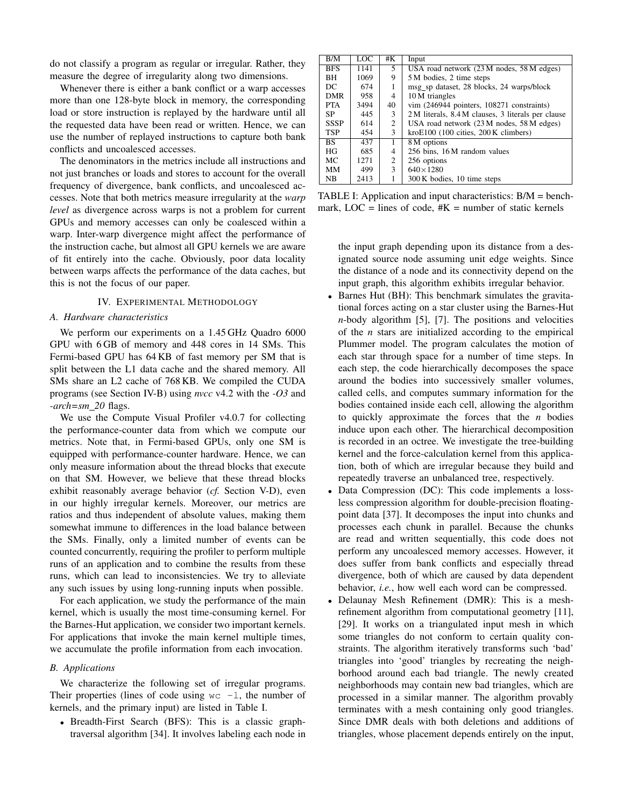do not classify a program as regular or irregular. Rather, they measure the degree of irregularity along two dimensions.

Whenever there is either a bank conflict or a warp accesses more than one 128-byte block in memory, the corresponding load or store instruction is replayed by the hardware until all the requested data have been read or written. Hence, we can use the number of replayed instructions to capture both bank conflicts and uncoalesced accesses.

The denominators in the metrics include all instructions and not just branches or loads and stores to account for the overall frequency of divergence, bank conflicts, and uncoalesced accesses. Note that both metrics measure irregularity at the *warp level* as divergence across warps is not a problem for current GPUs and memory accesses can only be coalesced within a warp. Inter-warp divergence might affect the performance of the instruction cache, but almost all GPU kernels we are aware of fit entirely into the cache. Obviously, poor data locality between warps affects the performance of the data caches, but this is not the focus of our paper.

## IV. EXPERIMENTAL METHODOLOGY

## *A. Hardware characteristics*

We perform our experiments on a 1.45 GHz Quadro 6000 GPU with 6 GB of memory and 448 cores in 14 SMs. This Fermi-based GPU has 64 KB of fast memory per SM that is split between the L1 data cache and the shared memory. All SMs share an L2 cache of 768 KB. We compiled the CUDA programs (see Section IV-B) using *nvcc* v4.2 with the *-O3* and *-arch=sm 20* flags.

We use the Compute Visual Profiler v4.0.7 for collecting the performance-counter data from which we compute our metrics. Note that, in Fermi-based GPUs, only one SM is equipped with performance-counter hardware. Hence, we can only measure information about the thread blocks that execute on that SM. However, we believe that these thread blocks exhibit reasonably average behavior (*cf.* Section V-D), even in our highly irregular kernels. Moreover, our metrics are ratios and thus independent of absolute values, making them somewhat immune to differences in the load balance between the SMs. Finally, only a limited number of events can be counted concurrently, requiring the profiler to perform multiple runs of an application and to combine the results from these runs, which can lead to inconsistencies. We try to alleviate any such issues by using long-running inputs when possible.

For each application, we study the performance of the main kernel, which is usually the most time-consuming kernel. For the Barnes-Hut application, we consider two important kernels. For applications that invoke the main kernel multiple times, we accumulate the profile information from each invocation.

## *B. Applications*

We characterize the following set of irregular programs. Their properties (lines of code using  $wc -1$ , the number of kernels, and the primary input) are listed in Table I.

• Breadth-First Search (BFS): This is a classic graphtraversal algorithm [34]. It involves labeling each node in

| B/M         | LOC  | #K             | Input                                              |
|-------------|------|----------------|----------------------------------------------------|
| <b>BFS</b>  | 1141 | 5.             | USA road network (23 M nodes, 58 M edges)          |
| <b>BH</b>   | 1069 | 9              | 5 M bodies, 2 time steps                           |
| DC          | 674  |                | msg_sp dataset, 28 blocks, 24 warps/block          |
| <b>DMR</b>  | 958  | 4              | 10 M triangles                                     |
| <b>PTA</b>  | 3494 | 40             | vim (246944 pointers, 108271 constraints)          |
| <b>SP</b>   | 445  | 3              | 2 M literals, 8.4 M clauses, 3 literals per clause |
| <b>SSSP</b> | 614  | 2              | USA road network (23 M nodes, 58 M edges)          |
| <b>TSP</b>  | 454  | 3              | kroE100 (100 cities, 200 K climbers)               |
| <b>BS</b>   | 437  |                | 8 M options                                        |
| HG          | 685  | 4              | 256 bins, 16 M random values                       |
| MC          | 1271 | $\overline{c}$ | 256 options                                        |
| <b>MM</b>   | 499  | 3              | $640\times1280$                                    |
| <b>NB</b>   | 2413 |                | 300 K bodies, 10 time steps                        |

TABLE I: Application and input characteristics: B/M = benchmark,  $LOC = lines$  of code,  $#K = number$  of static kernels

the input graph depending upon its distance from a designated source node assuming unit edge weights. Since the distance of a node and its connectivity depend on the input graph, this algorithm exhibits irregular behavior.

- Barnes Hut (BH): This benchmark simulates the gravitational forces acting on a star cluster using the Barnes-Hut *n*-body algorithm [5], [7]. The positions and velocities of the *n* stars are initialized according to the empirical Plummer model. The program calculates the motion of each star through space for a number of time steps. In each step, the code hierarchically decomposes the space around the bodies into successively smaller volumes, called cells, and computes summary information for the bodies contained inside each cell, allowing the algorithm to quickly approximate the forces that the *n* bodies induce upon each other. The hierarchical decomposition is recorded in an octree. We investigate the tree-building kernel and the force-calculation kernel from this application, both of which are irregular because they build and repeatedly traverse an unbalanced tree, respectively.
- Data Compression (DC): This code implements a lossless compression algorithm for double-precision floatingpoint data [37]. It decomposes the input into chunks and processes each chunk in parallel. Because the chunks are read and written sequentially, this code does not perform any uncoalesced memory accesses. However, it does suffer from bank conflicts and especially thread divergence, both of which are caused by data dependent behavior, *i.e.*, how well each word can be compressed.
- Delaunay Mesh Refinement (DMR): This is a meshrefinement algorithm from computational geometry [11], [29]. It works on a triangulated input mesh in which some triangles do not conform to certain quality constraints. The algorithm iteratively transforms such 'bad' triangles into 'good' triangles by recreating the neighborhood around each bad triangle. The newly created neighborhoods may contain new bad triangles, which are processed in a similar manner. The algorithm provably terminates with a mesh containing only good triangles. Since DMR deals with both deletions and additions of triangles, whose placement depends entirely on the input,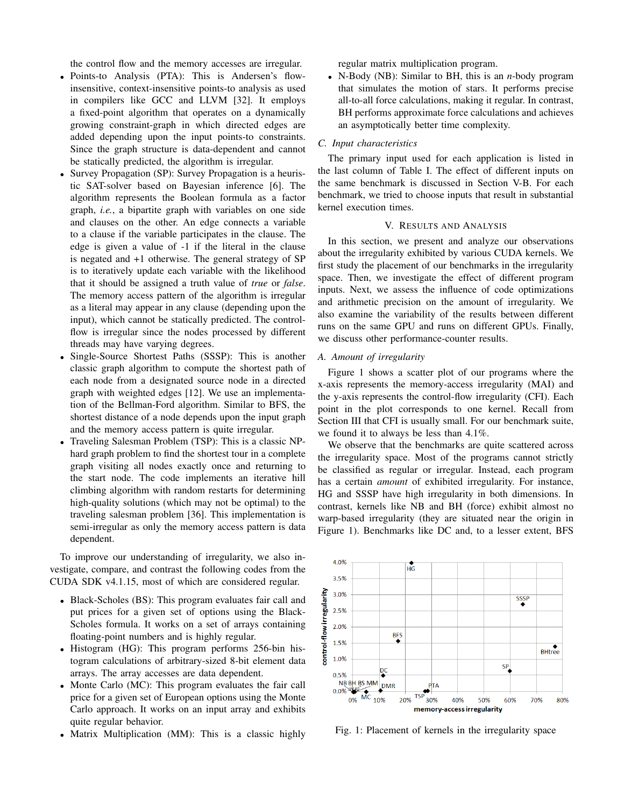the control flow and the memory accesses are irregular.

- Points-to Analysis (PTA): This is Andersen's flowinsensitive, context-insensitive points-to analysis as used in compilers like GCC and LLVM [32]. It employs a fixed-point algorithm that operates on a dynamically growing constraint-graph in which directed edges are added depending upon the input points-to constraints. Since the graph structure is data-dependent and cannot be statically predicted, the algorithm is irregular.
- Survey Propagation (SP): Survey Propagation is a heuristic SAT-solver based on Bayesian inference [6]. The algorithm represents the Boolean formula as a factor graph, *i.e.*, a bipartite graph with variables on one side and clauses on the other. An edge connects a variable to a clause if the variable participates in the clause. The edge is given a value of -1 if the literal in the clause is negated and +1 otherwise. The general strategy of SP is to iteratively update each variable with the likelihood that it should be assigned a truth value of *true* or *false*. The memory access pattern of the algorithm is irregular as a literal may appear in any clause (depending upon the input), which cannot be statically predicted. The controlflow is irregular since the nodes processed by different threads may have varying degrees.
- Single-Source Shortest Paths (SSSP): This is another classic graph algorithm to compute the shortest path of each node from a designated source node in a directed graph with weighted edges [12]. We use an implementation of the Bellman-Ford algorithm. Similar to BFS, the shortest distance of a node depends upon the input graph and the memory access pattern is quite irregular.
- Traveling Salesman Problem (TSP): This is a classic NPhard graph problem to find the shortest tour in a complete graph visiting all nodes exactly once and returning to the start node. The code implements an iterative hill climbing algorithm with random restarts for determining high-quality solutions (which may not be optimal) to the traveling salesman problem [36]. This implementation is semi-irregular as only the memory access pattern is data dependent.

To improve our understanding of irregularity, we also investigate, compare, and contrast the following codes from the CUDA SDK v4.1.15, most of which are considered regular.

- Black-Scholes (BS): This program evaluates fair call and put prices for a given set of options using the Black-Scholes formula. It works on a set of arrays containing floating-point numbers and is highly regular.
- Histogram (HG): This program performs 256-bin histogram calculations of arbitrary-sized 8-bit element data arrays. The array accesses are data dependent.
- Monte Carlo (MC): This program evaluates the fair call price for a given set of European options using the Monte Carlo approach. It works on an input array and exhibits quite regular behavior.
- Matrix Multiplication (MM): This is a classic highly

regular matrix multiplication program.

• N-Body (NB): Similar to BH, this is an *n*-body program that simulates the motion of stars. It performs precise all-to-all force calculations, making it regular. In contrast, BH performs approximate force calculations and achieves an asymptotically better time complexity.

## *C. Input characteristics*

The primary input used for each application is listed in the last column of Table I. The effect of different inputs on the same benchmark is discussed in Section V-B. For each benchmark, we tried to choose inputs that result in substantial kernel execution times.

## V. RESULTS AND ANALYSIS

In this section, we present and analyze our observations about the irregularity exhibited by various CUDA kernels. We first study the placement of our benchmarks in the irregularity space. Then, we investigate the effect of different program inputs. Next, we assess the influence of code optimizations and arithmetic precision on the amount of irregularity. We also examine the variability of the results between different runs on the same GPU and runs on different GPUs. Finally, we discuss other performance-counter results.

## *A. Amount of irregularity*

Figure 1 shows a scatter plot of our programs where the x-axis represents the memory-access irregularity (MAI) and the y-axis represents the control-flow irregularity (CFI). Each point in the plot corresponds to one kernel. Recall from Section III that CFI is usually small. For our benchmark suite, we found it to always be less than 4.1%.

We observe that the benchmarks are quite scattered across the irregularity space. Most of the programs cannot strictly be classified as regular or irregular. Instead, each program has a certain *amount* of exhibited irregularity. For instance, HG and SSSP have high irregularity in both dimensions. In contrast, kernels like NB and BH (force) exhibit almost no warp-based irregularity (they are situated near the origin in Figure 1). Benchmarks like DC and, to a lesser extent, BFS



Fig. 1: Placement of kernels in the irregularity space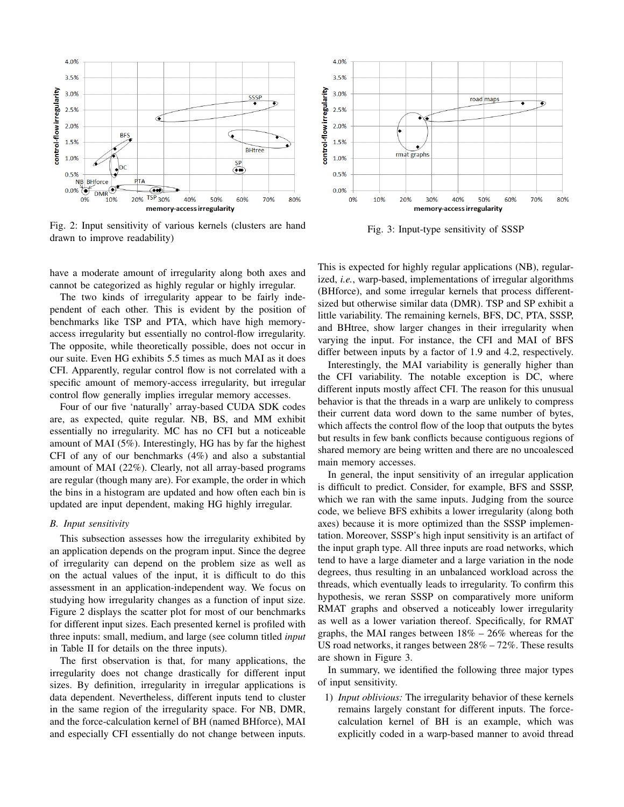

Fig. 2: Input sensitivity of various kernels (clusters are hand drawn to improve readability)

have a moderate amount of irregularity along both axes and cannot be categorized as highly regular or highly irregular.

The two kinds of irregularity appear to be fairly independent of each other. This is evident by the position of benchmarks like TSP and PTA, which have high memoryaccess irregularity but essentially no control-flow irregularity. The opposite, while theoretically possible, does not occur in our suite. Even HG exhibits 5.5 times as much MAI as it does CFI. Apparently, regular control flow is not correlated with a specific amount of memory-access irregularity, but irregular control flow generally implies irregular memory accesses.

Four of our five 'naturally' array-based CUDA SDK codes are, as expected, quite regular. NB, BS, and MM exhibit essentially no irregularity. MC has no CFI but a noticeable amount of MAI (5%). Interestingly, HG has by far the highest CFI of any of our benchmarks (4%) and also a substantial amount of MAI (22%). Clearly, not all array-based programs are regular (though many are). For example, the order in which the bins in a histogram are updated and how often each bin is updated are input dependent, making HG highly irregular.

#### *B. Input sensitivity*

This subsection assesses how the irregularity exhibited by an application depends on the program input. Since the degree of irregularity can depend on the problem size as well as on the actual values of the input, it is difficult to do this assessment in an application-independent way. We focus on studying how irregularity changes as a function of input size. Figure 2 displays the scatter plot for most of our benchmarks for different input sizes. Each presented kernel is profiled with three inputs: small, medium, and large (see column titled *input* in Table II for details on the three inputs).

The first observation is that, for many applications, the irregularity does not change drastically for different input sizes. By definition, irregularity in irregular applications is data dependent. Nevertheless, different inputs tend to cluster in the same region of the irregularity space. For NB, DMR, and the force-calculation kernel of BH (named BHforce), MAI and especially CFI essentially do not change between inputs.



Fig. 3: Input-type sensitivity of SSSP

This is expected for highly regular applications (NB), regularized, *i.e.*, warp-based, implementations of irregular algorithms (BHforce), and some irregular kernels that process differentsized but otherwise similar data (DMR). TSP and SP exhibit a little variability. The remaining kernels, BFS, DC, PTA, SSSP, and BHtree, show larger changes in their irregularity when varying the input. For instance, the CFI and MAI of BFS differ between inputs by a factor of 1.9 and 4.2, respectively.

Interestingly, the MAI variability is generally higher than the CFI variability. The notable exception is DC, where different inputs mostly affect CFI. The reason for this unusual behavior is that the threads in a warp are unlikely to compress their current data word down to the same number of bytes, which affects the control flow of the loop that outputs the bytes but results in few bank conflicts because contiguous regions of shared memory are being written and there are no uncoalesced main memory accesses.

In general, the input sensitivity of an irregular application is difficult to predict. Consider, for example, BFS and SSSP, which we ran with the same inputs. Judging from the source code, we believe BFS exhibits a lower irregularity (along both axes) because it is more optimized than the SSSP implementation. Moreover, SSSP's high input sensitivity is an artifact of the input graph type. All three inputs are road networks, which tend to have a large diameter and a large variation in the node degrees, thus resulting in an unbalanced workload across the threads, which eventually leads to irregularity. To confirm this hypothesis, we reran SSSP on comparatively more uniform RMAT graphs and observed a noticeably lower irregularity as well as a lower variation thereof. Specifically, for RMAT graphs, the MAI ranges between  $18\% - 26\%$  whereas for the US road networks, it ranges between 28% – 72%. These results are shown in Figure 3.

In summary, we identified the following three major types of input sensitivity.

1) *Input oblivious:* The irregularity behavior of these kernels remains largely constant for different inputs. The forcecalculation kernel of BH is an example, which was explicitly coded in a warp-based manner to avoid thread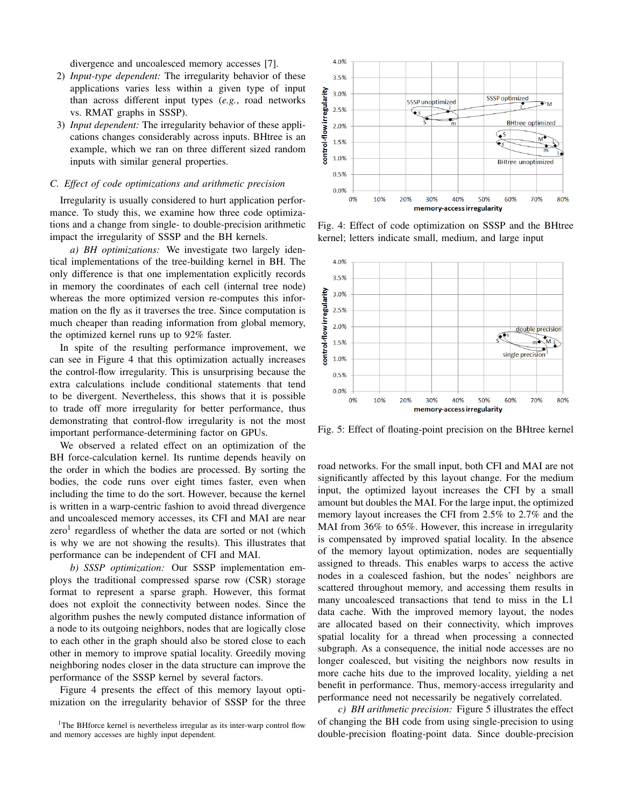divergence and uncoalesced memory accesses [7].

- 2) *Input-type dependent:* The irregularity behavior of these applications varies less within a given type of input than across different input types (*e.g.*, road networks vs. RMAT graphs in SSSP).
- 3) *Input dependent:* The irregularity behavior of these applications changes considerably across inputs. BHtree is an example, which we ran on three different sized random inputs with similar general properties.

## *C. Effect of code optimizations and arithmetic precision*

Irregularity is usually considered to hurt application performance. To study this, we examine how three code optimizations and a change from single- to double-precision arithmetic impact the irregularity of SSSP and the BH kernels.

*a) BH optimizations:* We investigate two largely identical implementations of the tree-building kernel in BH. The only difference is that one implementation explicitly records in memory the coordinates of each cell (internal tree node) whereas the more optimized version re-computes this information on the fly as it traverses the tree. Since computation is much cheaper than reading information from global memory, the optimized kernel runs up to 92% faster.

In spite of the resulting performance improvement, we can see in Figure 4 that this optimization actually increases the control-flow irregularity. This is unsurprising because the extra calculations include conditional statements that tend to be divergent. Nevertheless, this shows that it is possible to trade off more irregularity for better performance, thus demonstrating that control-flow irregularity is not the most important performance-determining factor on GPUs.

We observed a related effect on an optimization of the BH force-calculation kernel. Its runtime depends heavily on the order in which the bodies are processed. By sorting the bodies, the code runs over eight times faster, even when including the time to do the sort. However, because the kernel is written in a warp-centric fashion to avoid thread divergence and uncoalesced memory accesses, its CFI and MAI are near zero<sup>1</sup> regardless of whether the data are sorted or not (which is why we are not showing the results). This illustrates that performance can be independent of CFI and MAI.

*b) SSSP optimization:* Our SSSP implementation employs the traditional compressed sparse row (CSR) storage format to represent a sparse graph. However, this format does not exploit the connectivity between nodes. Since the algorithm pushes the newly computed distance information of a node to its outgoing neighbors, nodes that are logically close to each other in the graph should also be stored close to each other in memory to improve spatial locality. Greedily moving neighboring nodes closer in the data structure can improve the performance of the SSSP kernel by several factors.

Figure 4 presents the effect of this memory layout optimization on the irregularity behavior of SSSP for the three



Fig. 4: Effect of code optimization on SSSP and the BHtree kernel; letters indicate small, medium, and large input



Fig. 5: Effect of floating-point precision on the BHtree kernel

road networks. For the small input, both CFI and MAI are not significantly affected by this layout change. For the medium input, the optimized layout increases the CFI by a small amount but doubles the MAI. For the large input, the optimized memory layout increases the CFI from 2.5% to 2.7% and the MAI from 36% to 65%. However, this increase in irregularity is compensated by improved spatial locality. In the absence of the memory layout optimization, nodes are sequentially assigned to threads. This enables warps to access the active nodes in a coalesced fashion, but the nodes' neighbors are scattered throughout memory, and accessing them results in many uncoalesced transactions that tend to miss in the L1 data cache. With the improved memory layout, the nodes are allocated based on their connectivity, which improves spatial locality for a thread when processing a connected subgraph. As a consequence, the initial node accesses are no longer coalesced, but visiting the neighbors now results in more cache hits due to the improved locality, yielding a net benefit in performance. Thus, memory-access irregularity and performance need not necessarily be negatively correlated.

*c) BH arithmetic precision:* Figure 5 illustrates the effect of changing the BH code from using single-precision to using double-precision floating-point data. Since double-precision

<sup>&</sup>lt;sup>1</sup>The BHforce kernel is nevertheless irregular as its inter-warp control flow and memory accesses are highly input dependent.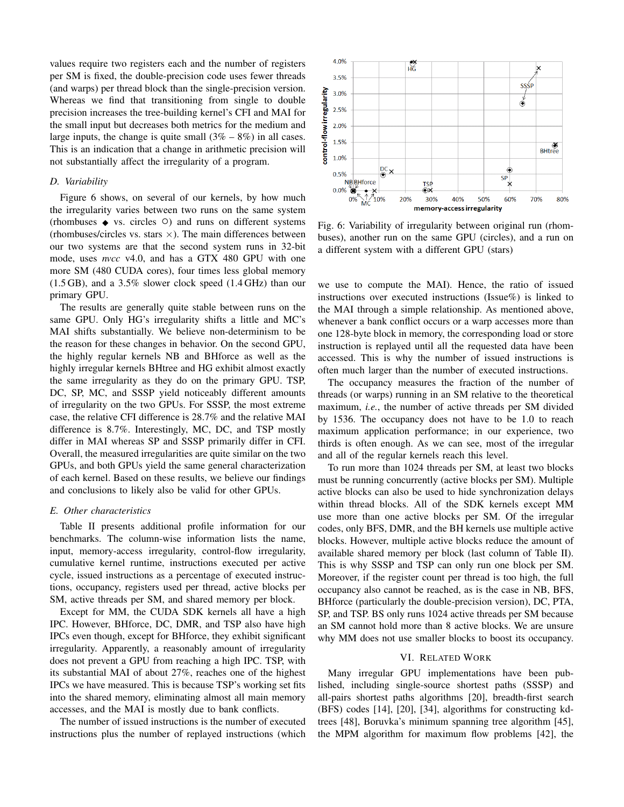values require two registers each and the number of registers per SM is fixed, the double-precision code uses fewer threads (and warps) per thread block than the single-precision version. Whereas we find that transitioning from single to double precision increases the tree-building kernel's CFI and MAI for the small input but decreases both metrics for the medium and large inputs, the change is quite small  $(3\% - 8\%)$  in all cases. This is an indication that a change in arithmetic precision will not substantially affect the irregularity of a program.

#### *D. Variability*

Figure 6 shows, on several of our kernels, by how much the irregularity varies between two runs on the same system  $($ rhombuses  $\leftrightarrow$  vs. circles  $\circ$ ) and runs on different systems (rhombuses/circles vs. stars  $\times$ ). The main differences between our two systems are that the second system runs in 32-bit mode, uses *nvcc* v4.0, and has a GTX 480 GPU with one more SM (480 CUDA cores), four times less global memory (1.5 GB), and a 3.5% slower clock speed (1.4 GHz) than our primary GPU.

The results are generally quite stable between runs on the same GPU. Only HG's irregularity shifts a little and MC's MAI shifts substantially. We believe non-determinism to be the reason for these changes in behavior. On the second GPU, the highly regular kernels NB and BHforce as well as the highly irregular kernels BHtree and HG exhibit almost exactly the same irregularity as they do on the primary GPU. TSP, DC, SP, MC, and SSSP yield noticeably different amounts of irregularity on the two GPUs. For SSSP, the most extreme case, the relative CFI difference is 28.7% and the relative MAI difference is 8.7%. Interestingly, MC, DC, and TSP mostly differ in MAI whereas SP and SSSP primarily differ in CFI. Overall, the measured irregularities are quite similar on the two GPUs, and both GPUs yield the same general characterization of each kernel. Based on these results, we believe our findings and conclusions to likely also be valid for other GPUs.

#### *E. Other characteristics*

Table II presents additional profile information for our benchmarks. The column-wise information lists the name, input, memory-access irregularity, control-flow irregularity, cumulative kernel runtime, instructions executed per active cycle, issued instructions as a percentage of executed instructions, occupancy, registers used per thread, active blocks per SM, active threads per SM, and shared memory per block.

Except for MM, the CUDA SDK kernels all have a high IPC. However, BHforce, DC, DMR, and TSP also have high IPCs even though, except for BHforce, they exhibit significant irregularity. Apparently, a reasonably amount of irregularity does not prevent a GPU from reaching a high IPC. TSP, with its substantial MAI of about 27%, reaches one of the highest IPCs we have measured. This is because TSP's working set fits into the shared memory, eliminating almost all main memory accesses, and the MAI is mostly due to bank conflicts.

The number of issued instructions is the number of executed instructions plus the number of replayed instructions (which



Fig. 6: Variability of irregularity between original run (rhombuses), another run on the same GPU (circles), and a run on a different system with a different GPU (stars)

we use to compute the MAI). Hence, the ratio of issued instructions over executed instructions (Issue%) is linked to the MAI through a simple relationship. As mentioned above, whenever a bank conflict occurs or a warp accesses more than one 128-byte block in memory, the corresponding load or store instruction is replayed until all the requested data have been accessed. This is why the number of issued instructions is often much larger than the number of executed instructions.

The occupancy measures the fraction of the number of threads (or warps) running in an SM relative to the theoretical maximum, *i.e.*, the number of active threads per SM divided by 1536. The occupancy does not have to be 1.0 to reach maximum application performance; in our experience, two thirds is often enough. As we can see, most of the irregular and all of the regular kernels reach this level.

To run more than 1024 threads per SM, at least two blocks must be running concurrently (active blocks per SM). Multiple active blocks can also be used to hide synchronization delays within thread blocks. All of the SDK kernels except MM use more than one active blocks per SM. Of the irregular codes, only BFS, DMR, and the BH kernels use multiple active blocks. However, multiple active blocks reduce the amount of available shared memory per block (last column of Table II). This is why SSSP and TSP can only run one block per SM. Moreover, if the register count per thread is too high, the full occupancy also cannot be reached, as is the case in NB, BFS, BHforce (particularly the double-precision version), DC, PTA, SP, and TSP. BS only runs 1024 active threads per SM because an SM cannot hold more than 8 active blocks. We are unsure why MM does not use smaller blocks to boost its occupancy.

## VI. RELATED WORK

Many irregular GPU implementations have been published, including single-source shortest paths (SSSP) and all-pairs shortest paths algorithms [20], breadth-first search (BFS) codes [14], [20], [34], algorithms for constructing kdtrees [48], Boruvka's minimum spanning tree algorithm [45], the MPM algorithm for maximum flow problems [42], the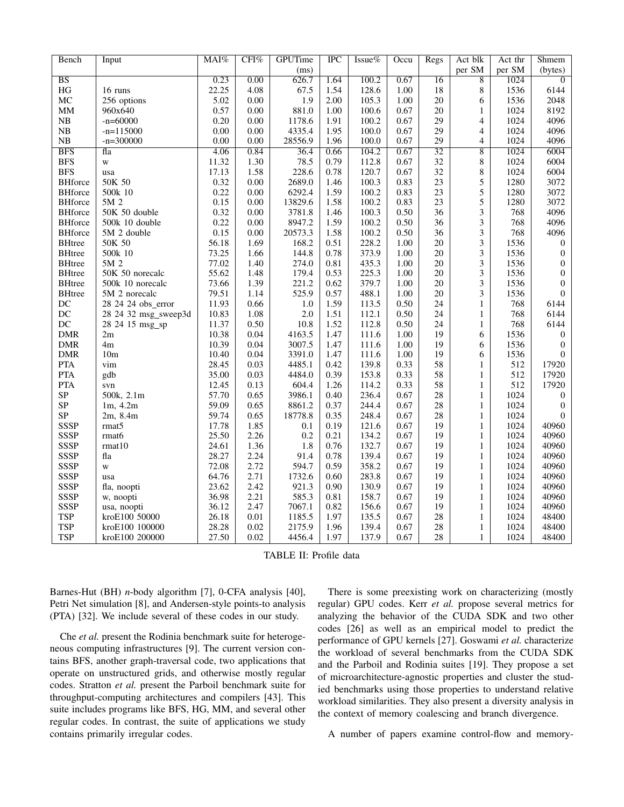| Bench                  | Input                | MAI%  | CFI% | GPUTime | $\overline{IPC}$ | Issue% | Occu | Regs            | Act blk        | Act thr | Shmem            |
|------------------------|----------------------|-------|------|---------|------------------|--------|------|-----------------|----------------|---------|------------------|
|                        |                      |       |      | (ms)    |                  |        |      |                 | per SM         | per SM  | (bytes)          |
| $\overline{\text{BS}}$ |                      | 0.23  | 0.00 | 626.7   | 1.64             | 100.2  | 0.67 | $\overline{16}$ | 8              | 1024    | $\mathbf{0}$     |
| HG                     | 16 runs              | 22.25 | 4.08 | 67.5    | 1.54             | 128.6  | 1.00 | 18              | $\,$ 8 $\,$    | 1536    | 6144             |
| MC                     | 256 options          | 5.02  | 0.00 | 1.9     | 2.00             | 105.3  | 1.00 | 20              | 6              | 1536    | 2048             |
| <b>MM</b>              | 960x640              | 0.57  | 0.00 | 881.0   | 1.00             | 100.6  | 0.67 | 20              | 1              | 1024    | 8192             |
| NB                     | $-n=60000$           | 0.20  | 0.00 | 1178.6  | 1.91             | 100.2  | 0.67 | 29              | 4              | 1024    | 4096             |
| NB                     | $-n=115000$          | 0.00  | 0.00 | 4335.4  | 1.95             | 100.0  | 0.67 | 29              | 4              | 1024    | 4096             |
| NB                     | $-n=300000$          | 0.00  | 0.00 | 28556.9 | 1.96             | 100.0  | 0.67 | 29              | 4              | 1024    | 4096             |
| <b>BFS</b>             | fla                  | 4.06  | 0.84 | 36.4    | 0.66             | 104.2  | 0.67 | $\overline{32}$ | $\overline{8}$ | 1024    | 6004             |
| <b>BFS</b>             | W                    | 11.32 | 1.30 | 78.5    | 0.79             | 112.8  | 0.67 | 32              | $\,$ 8 $\,$    | 1024    | 6004             |
| <b>BFS</b>             | usa                  | 17.13 | 1.58 | 228.6   | 0.78             | 120.7  | 0.67 | 32              | 8              | 1024    | 6004             |
| <b>BHforce</b>         | 50K 50               | 0.32  | 0.00 | 2689.0  | 1.46             | 100.3  | 0.83 | 23              | 5              | 1280    | 3072             |
| <b>BHforce</b>         | 500k 10              | 0.22  | 0.00 | 6292.4  | 1.59             | 100.2  | 0.83 | 23              | 5              | 1280    | 3072             |
| <b>BHforce</b>         | 5M 2                 | 0.15  | 0.00 | 13829.6 | 1.58             | 100.2  | 0.83 | 23              | 5              | 1280    | 3072             |
| <b>BHforce</b>         | 50K 50 double        | 0.32  | 0.00 | 3781.8  | 1.46             | 100.3  | 0.50 | 36              | 3              | 768     | 4096             |
| <b>BHforce</b>         | 500k 10 double       | 0.22  | 0.00 | 8947.2  | 1.59             | 100.2  | 0.50 | 36              | 3              | 768     | 4096             |
| <b>BHforce</b>         | 5M 2 double          | 0.15  | 0.00 | 20573.3 | 1.58             | 100.2  | 0.50 | 36              | 3              | 768     | 4096             |
| <b>BHtree</b>          | 50K 50               | 56.18 | 1.69 | 168.2   | 0.51             | 228.2  | 1.00 | 20              | 3              | 1536    | $\boldsymbol{0}$ |
| <b>BHtree</b>          | 500k 10              | 73.25 | 1.66 | 144.8   | 0.78             | 373.9  | 1.00 | 20              | 3              | 1536    | $\boldsymbol{0}$ |
| <b>BHtree</b>          | 5M 2                 | 77.02 | 1.40 | 274.0   | 0.81             | 435.3  | 1.00 | 20              | 3              | 1536    | $\boldsymbol{0}$ |
| <b>BHtree</b>          | 50K 50 norecalc      | 55.62 | 1.48 | 179.4   | 0.53             | 225.3  | 1.00 | 20              | 3              | 1536    | $\boldsymbol{0}$ |
| <b>BHtree</b>          | 500k 10 norecalc     | 73.66 | 1.39 | 221.2   | 0.62             | 379.7  | 1.00 | 20              | 3              | 1536    | $\boldsymbol{0}$ |
| <b>BHtree</b>          | 5M 2 norecalc        | 79.51 | 1.14 | 525.9   | 0.57             | 488.1  | 1.00 | 20              | 3              | 1536    | $\boldsymbol{0}$ |
| DC                     | 28 24 24 obs_error   | 11.93 | 0.66 | 1.0     | 1.59             | 113.5  | 0.50 | 24              | 1              | 768     | 6144             |
| DC                     | 28 24 32 msg_sweep3d | 10.83 | 1.08 | 2.0     | 1.51             | 112.1  | 0.50 | 24              | 1              | 768     | 6144             |
| DC                     | 28 24 15 msg_sp      | 11.37 | 0.50 | 10.8    | 1.52             | 112.8  | 0.50 | 24              | 1              | 768     | 6144             |
| <b>DMR</b>             | 2m                   | 10.38 | 0.04 | 4163.5  | 1.47             | 111.6  | 1.00 | 19              | 6              | 1536    | $\boldsymbol{0}$ |
| <b>DMR</b>             | 4m                   | 10.39 | 0.04 | 3007.5  | 1.47             | 111.6  | 1.00 | 19              | 6              | 1536    | $\mathbf{0}$     |
| <b>DMR</b>             | 10 <sub>m</sub>      | 10.40 | 0.04 | 3391.0  | 1.47             | 111.6  | 1.00 | 19              | 6              | 1536    | $\theta$         |
| <b>PTA</b>             | vim                  | 28.45 | 0.03 | 4485.1  | 0.42             | 139.8  | 0.33 | 58              | 1              | 512     | 17920            |
| <b>PTA</b>             | gdb                  | 35.00 | 0.03 | 4484.0  | 0.39             | 153.8  | 0.33 | 58              | $\mathbf{1}$   | 512     | 17920            |
| <b>PTA</b>             | svn                  | 12.45 | 0.13 | 604.4   | 1.26             | 114.2  | 0.33 | 58              | 1              | 512     | 17920            |
| <b>SP</b>              | 500k, 2.1m           | 57.70 | 0.65 | 3986.1  | 0.40             | 236.4  | 0.67 | 28              | 1              | 1024    | $\boldsymbol{0}$ |
| <b>SP</b>              | 1m, 4.2m             | 59.09 | 0.65 | 8861.2  | 0.37             | 244.4  | 0.67 | 28              | 1              | 1024    | $\boldsymbol{0}$ |
| <b>SP</b>              | 2m, 8.4m             | 59.74 | 0.65 | 18778.8 | 0.35             | 248.4  | 0.67 | 28              | 1              | 1024    | $\Omega$         |
| SSSP                   | rmat5                | 17.78 | 1.85 | 0.1     | 0.19             | 121.6  | 0.67 | 19              | $\mathbf{1}$   | 1024    | 40960            |
| <b>SSSP</b>            | rmat6                | 25.50 | 2.26 | 0.2     | 0.21             | 134.2  | 0.67 | 19              | 1              | 1024    | 40960            |
| <b>SSSP</b>            | rmat10               | 24.61 | 1.36 | 1.8     | 0.76             | 132.7  | 0.67 | 19              | 1              | 1024    | 40960            |
| <b>SSSP</b>            | fla                  | 28.27 | 2.24 | 91.4    | 0.78             | 139.4  | 0.67 | 19              | 1              | 1024    | 40960            |
| <b>SSSP</b>            | W                    | 72.08 | 2.72 | 594.7   | 0.59             | 358.2  | 0.67 | 19              | 1              | 1024    | 40960            |
| <b>SSSP</b>            | usa                  | 64.76 | 2.71 | 1732.6  | 0.60             | 283.8  | 0.67 | 19              | 1              | 1024    | 40960            |
| <b>SSSP</b>            | fla, noopti          | 23.62 | 2.42 | 921.3   | 0.90             | 130.9  | 0.67 | 19              | $\mathbf{1}$   | 1024    | 40960            |
| <b>SSSP</b>            | w, noopti            | 36.98 | 2.21 | 585.3   | 0.81             | 158.7  | 0.67 | 19              | 1              | 1024    | 40960            |
| <b>SSSP</b>            | usa, noopti          | 36.12 | 2.47 | 7067.1  | 0.82             | 156.6  | 0.67 | 19              | 1              | 1024    | 40960            |
| <b>TSP</b>             | kroE100 50000        | 26.18 | 0.01 | 1185.5  | 1.97             | 135.5  | 0.67 | 28              | 1              | 1024    | 48400            |
| <b>TSP</b>             | kroE100 100000       | 28.28 | 0.02 | 2175.9  | 1.96             | 139.4  | 0.67 | 28              | 1              | 1024    | 48400            |
| <b>TSP</b>             | kroE100 200000       | 27.50 | 0.02 | 4456.4  | 1.97             | 137.9  | 0.67 | 28              | 1              | 1024    | 48400            |

TABLE II: Profile data

Barnes-Hut (BH) *n*-body algorithm [7], 0-CFA analysis [40], Petri Net simulation [8], and Andersen-style points-to analysis (PTA) [32]. We include several of these codes in our study.

Che *et al.* present the Rodinia benchmark suite for heterogeneous computing infrastructures [9]. The current version contains BFS, another graph-traversal code, two applications that operate on unstructured grids, and otherwise mostly regular codes. Stratton *et al.* present the Parboil benchmark suite for throughput-computing architectures and compilers [43]. This suite includes programs like BFS, HG, MM, and several other regular codes. In contrast, the suite of applications we study contains primarily irregular codes.

There is some preexisting work on characterizing (mostly regular) GPU codes. Kerr *et al.* propose several metrics for analyzing the behavior of the CUDA SDK and two other codes [26] as well as an empirical model to predict the performance of GPU kernels [27]. Goswami *et al.* characterize the workload of several benchmarks from the CUDA SDK and the Parboil and Rodinia suites [19]. They propose a set of microarchitecture-agnostic properties and cluster the studied benchmarks using those properties to understand relative workload similarities. They also present a diversity analysis in the context of memory coalescing and branch divergence.

A number of papers examine control-flow and memory-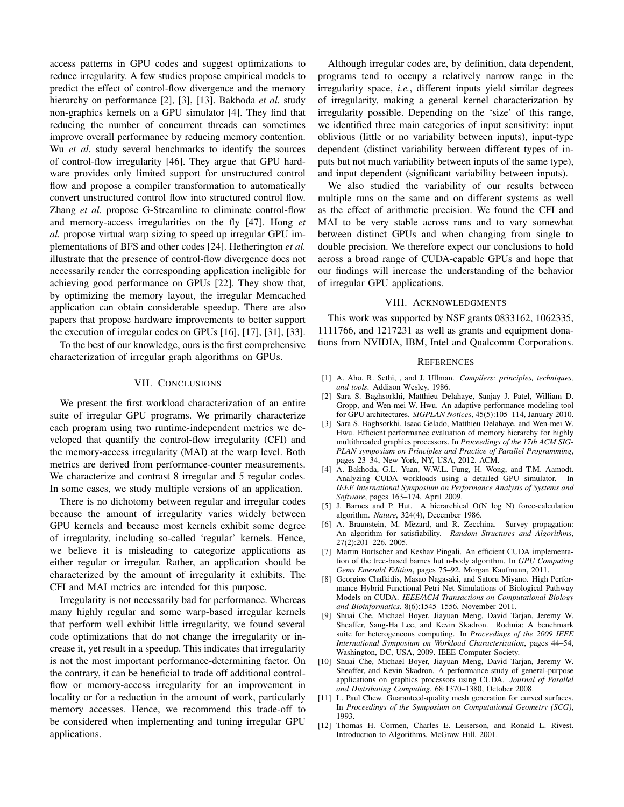access patterns in GPU codes and suggest optimizations to reduce irregularity. A few studies propose empirical models to predict the effect of control-flow divergence and the memory hierarchy on performance [2], [3], [13]. Bakhoda *et al.* study non-graphics kernels on a GPU simulator [4]. They find that reducing the number of concurrent threads can sometimes improve overall performance by reducing memory contention. Wu *et al.* study several benchmarks to identify the sources of control-flow irregularity [46]. They argue that GPU hardware provides only limited support for unstructured control flow and propose a compiler transformation to automatically convert unstructured control flow into structured control flow. Zhang *et al.* propose G-Streamline to eliminate control-flow and memory-access irregularities on the fly [47]. Hong *et al.* propose virtual warp sizing to speed up irregular GPU implementations of BFS and other codes [24]. Hetherington *et al.* illustrate that the presence of control-flow divergence does not necessarily render the corresponding application ineligible for achieving good performance on GPUs [22]. They show that, by optimizing the memory layout, the irregular Memcached application can obtain considerable speedup. There are also papers that propose hardware improvements to better support the execution of irregular codes on GPUs [16], [17], [31], [33].

To the best of our knowledge, ours is the first comprehensive characterization of irregular graph algorithms on GPUs.

## VII. CONCLUSIONS

We present the first workload characterization of an entire suite of irregular GPU programs. We primarily characterize each program using two runtime-independent metrics we developed that quantify the control-flow irregularity (CFI) and the memory-access irregularity (MAI) at the warp level. Both metrics are derived from performance-counter measurements. We characterize and contrast 8 irregular and 5 regular codes. In some cases, we study multiple versions of an application.

There is no dichotomy between regular and irregular codes because the amount of irregularity varies widely between GPU kernels and because most kernels exhibit some degree of irregularity, including so-called 'regular' kernels. Hence, we believe it is misleading to categorize applications as either regular or irregular. Rather, an application should be characterized by the amount of irregularity it exhibits. The CFI and MAI metrics are intended for this purpose.

Irregularity is not necessarily bad for performance. Whereas many highly regular and some warp-based irregular kernels that perform well exhibit little irregularity, we found several code optimizations that do not change the irregularity or increase it, yet result in a speedup. This indicates that irregularity is not the most important performance-determining factor. On the contrary, it can be beneficial to trade off additional controlflow or memory-access irregularity for an improvement in locality or for a reduction in the amount of work, particularly memory accesses. Hence, we recommend this trade-off to be considered when implementing and tuning irregular GPU applications.

Although irregular codes are, by definition, data dependent, programs tend to occupy a relatively narrow range in the irregularity space, *i.e.*, different inputs yield similar degrees of irregularity, making a general kernel characterization by irregularity possible. Depending on the 'size' of this range, we identified three main categories of input sensitivity: input oblivious (little or no variability between inputs), input-type dependent (distinct variability between different types of inputs but not much variability between inputs of the same type), and input dependent (significant variability between inputs).

We also studied the variability of our results between multiple runs on the same and on different systems as well as the effect of arithmetic precision. We found the CFI and MAI to be very stable across runs and to vary somewhat between distinct GPUs and when changing from single to double precision. We therefore expect our conclusions to hold across a broad range of CUDA-capable GPUs and hope that our findings will increase the understanding of the behavior of irregular GPU applications.

## VIII. ACKNOWLEDGMENTS

This work was supported by NSF grants 0833162, 1062335, 1111766, and 1217231 as well as grants and equipment donations from NVIDIA, IBM, Intel and Qualcomm Corporations.

#### **REFERENCES**

- [1] A. Aho, R. Sethi, , and J. Ullman. *Compilers: principles, techniques, and tools*. Addison Wesley, 1986.
- [2] Sara S. Baghsorkhi, Matthieu Delahaye, Sanjay J. Patel, William D. Gropp, and Wen-mei W. Hwu. An adaptive performance modeling tool for GPU architectures. *SIGPLAN Notices*, 45(5):105–114, January 2010.
- [3] Sara S. Baghsorkhi, Isaac Gelado, Matthieu Delahaye, and Wen-mei W. Hwu. Efficient performance evaluation of memory hierarchy for highly multithreaded graphics processors. In *Proceedings of the 17th ACM SIG-PLAN symposium on Principles and Practice of Parallel Programming*, pages 23–34, New York, NY, USA, 2012. ACM.
- [4] A. Bakhoda, G.L. Yuan, W.W.L. Fung, H. Wong, and T.M. Aamodt. Analyzing CUDA workloads using a detailed GPU simulator. In *IEEE International Symposium on Performance Analysis of Systems and Software*, pages 163–174, April 2009.
- [5] J. Barnes and P. Hut. A hierarchical O(N log N) force-calculation algorithm. *Nature*, 324(4), December 1986.
- [6] A. Braunstein, M. Mèzard, and R. Zecchina. Survey propagation: An algorithm for satisfiability. *Random Structures and Algorithms*, 27(2):201–226, 2005.
- [7] Martin Burtscher and Keshav Pingali. An efficient CUDA implementation of the tree-based barnes hut n-body algorithm. In *GPU Computing Gems Emerald Edition*, pages 75–92. Morgan Kaufmann, 2011.
- [8] Georgios Chalkidis, Masao Nagasaki, and Satoru Miyano. High Performance Hybrid Functional Petri Net Simulations of Biological Pathway Models on CUDA. *IEEE/ACM Transactions on Computational Biology and Bioinformatics*, 8(6):1545–1556, November 2011.
- [9] Shuai Che, Michael Boyer, Jiayuan Meng, David Tarjan, Jeremy W. Sheaffer, Sang-Ha Lee, and Kevin Skadron. Rodinia: A benchmark suite for heterogeneous computing. In *Proceedings of the 2009 IEEE International Symposium on Workload Characterization*, pages 44–54, Washington, DC, USA, 2009. IEEE Computer Society.
- [10] Shuai Che, Michael Boyer, Jiayuan Meng, David Tarjan, Jeremy W. Sheaffer, and Kevin Skadron. A performance study of general-purpose applications on graphics processors using CUDA. *Journal of Parallel and Distributing Computing*, 68:1370–1380, October 2008.
- [11] L. Paul Chew. Guaranteed-quality mesh generation for curved surfaces. In *Proceedings of the Symposium on Computational Geometry (SCG)*, 1993.
- [12] Thomas H. Cormen, Charles E. Leiserson, and Ronald L. Rivest. Introduction to Algorithms, McGraw Hill, 2001.